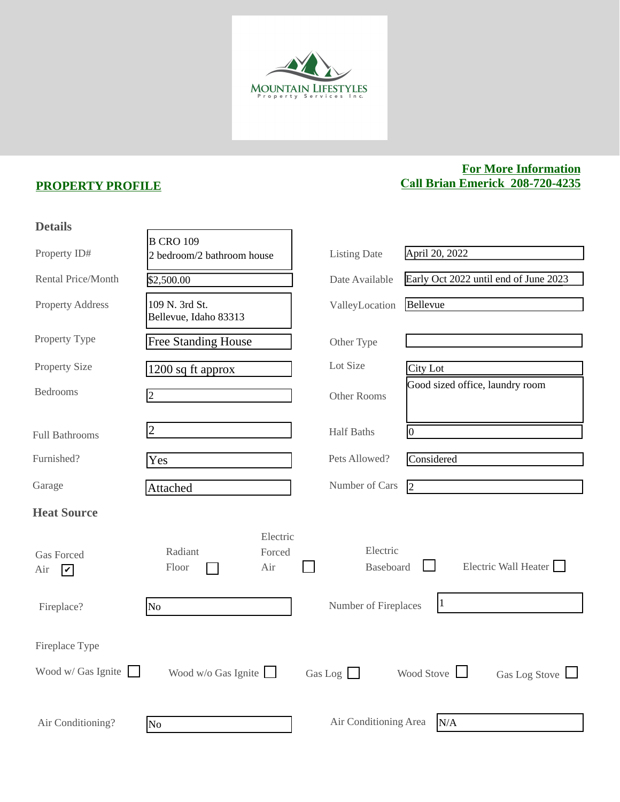

## **PROPERTY PROFILE**

## **For More Information Call Brian Emerick 208-720-4235**

| <b>Details</b>                                      |                                                       |                              |                                       |
|-----------------------------------------------------|-------------------------------------------------------|------------------------------|---------------------------------------|
| Property ID#                                        | <b>B CRO 109</b><br>2 bedroom/2 bathroom house        | <b>Listing Date</b>          | April 20, 2022                        |
| Rental Price/Month                                  | \$2,500.00                                            | Date Available               | Early Oct 2022 until end of June 2023 |
| <b>Property Address</b>                             | 109 N. 3rd St.<br>Bellevue, Idaho 83313               | ValleyLocation               | Bellevue                              |
| Property Type                                       | <b>Free Standing House</b>                            | Other Type                   |                                       |
| <b>Property Size</b>                                | 1200 sq ft approx                                     | Lot Size                     | <b>City Lot</b>                       |
| <b>Bedrooms</b>                                     | $\overline{2}$                                        | Other Rooms                  | Good sized office, laundry room       |
| <b>Full Bathrooms</b>                               | $\overline{2}$                                        | <b>Half Baths</b>            | 10                                    |
| Furnished?                                          | Yes                                                   | Pets Allowed?                | Considered                            |
| Garage                                              | Attached                                              | Number of Cars               | $\overline{2}$                        |
| <b>Heat Source</b>                                  |                                                       |                              |                                       |
| <b>Gas Forced</b><br>Air<br>$\overline{\mathbf{C}}$ | Electric<br>Radiant<br>Forced<br>Air<br>${\rm Floor}$ | Electric<br><b>Baseboard</b> | Electric Wall Heater                  |
| Fireplace?                                          | N <sub>o</sub>                                        | Number of Fireplaces         | $\vert$ 1                             |
| Fireplace Type                                      |                                                       |                              |                                       |
| Wood w/ Gas Ignite $\Box$                           | Wood w/o Gas Ignite $\Box$                            | Gas Log $\Box$               | Wood Stove<br>Gas Log Stove           |
| Air Conditioning?                                   | No.                                                   | Air Conditioning Area        | N/A                                   |